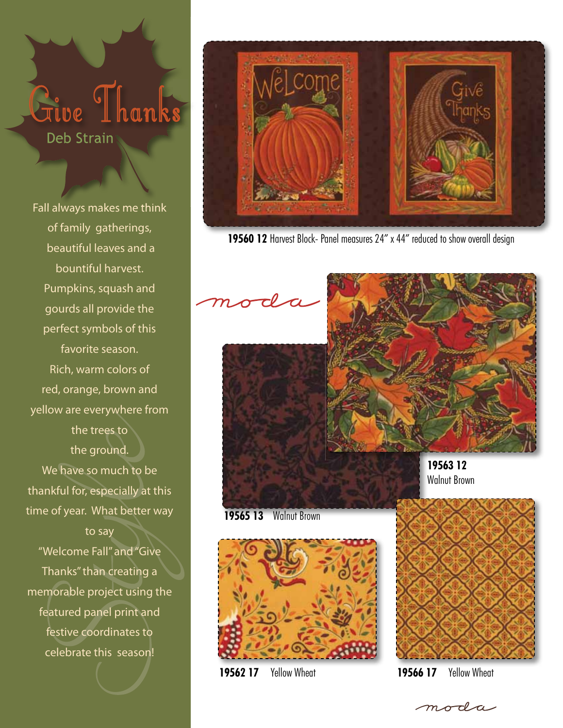## <sup>Tive</sup> Ihanks **Deb Strain**

Fall always makes me think of family gatherings, beautiful leaves and a bountiful harvest. Pumpkins, squash and gourds all provide the perfect symbols of this favorite season. Rich, warm colors of red, orange, brown and yellow are everywhere from the trees to the ground. We have so much to be thankful for, especially at this time of year. What better way to say

"Welcome Fall" and "Give Thanks" than creating a memorable project using the featured panel print and festive coordinates to celebrate this season!



**19560 12** Harvest Block- Panel measures 24" x 44" reduced to show overall design



Walnut Brown

**19565 13** Walnut Brown



**19562 17** Yellow Wheat **19566 17** Yellow Wheat



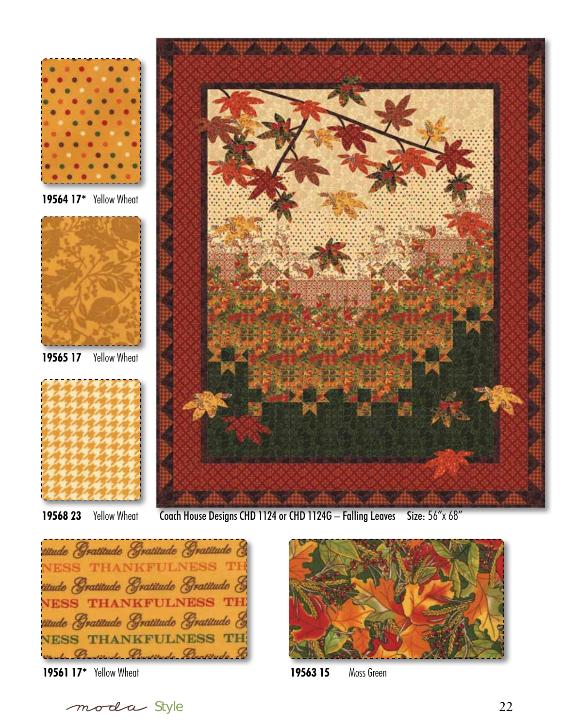

**19564 17\*** Yellow Wheat



**19565 17** Yellow Wheat



**19568 23** Yellow Wheat



titude Gratitude Gratitude Gratitude **NESS THANKFULNESS TH** titude Gratitude Gratitude Gratitude & **NESS THANKFULNESS TH** titude Gratitude Gratitude Gratitude & THANKFULNESS TH **VESS** Bureado Bureado Burtitudo





**19561 17\*** Yellow Wheat **19563 15** Moss Green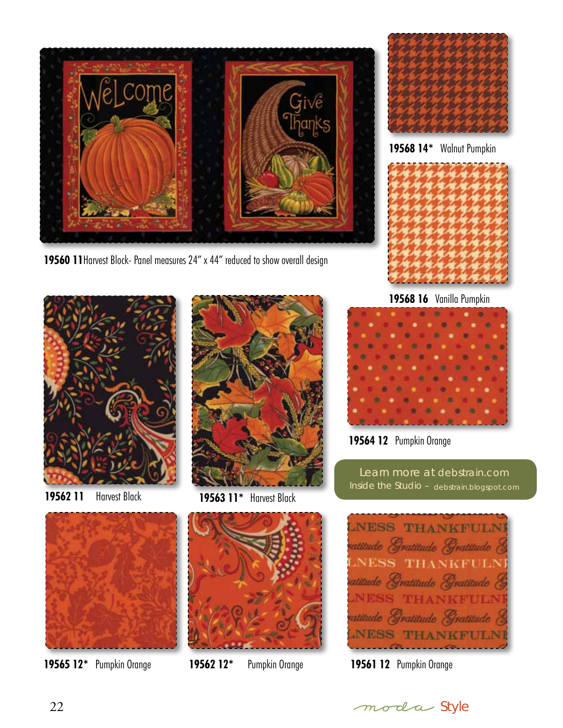

**19560 11**Harvest Block- Panel measures 24" x 44" reduced to show overall design



**19568 14\*** Walnut Pumpkin







**19562 11** Harvest Black **19563 11\*** Harvest Black



**19568 16** Vanilla Pumpkin

**19564 12** Pumpkin Orange

Learn more at debstrain.com Inside the Studio – debstrain.blogspot.com







**19565 12\*** Pumpkin Orange **19562 12\*** Pumpkin Orange **19561 12** Pumpkin Orange